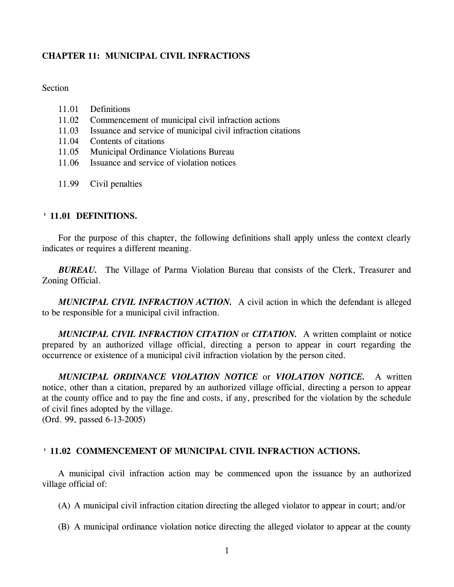# **CHAPTER 11: MUNICIPAL CIVIL INFRACTIONS**

## **Section**

- 11.01 Definitions
- 11.02 Commencement of municipal civil infraction actions
- 11.03 Issuance and service of municipal civil infraction citations
- 11.04 Contents of citations
- 11.05 Municipal Ordinance Violations Bureau
- 11.06 Issuance and service of violation notices
- 11.99 Civil penalties

## **' 11.01 DEFINITIONS.**

For the purpose of this chapter, the following definitions shall apply unless the context clearly indicates or requires a different meaning.

*BUREAU.* The Village of Parma Violation Bureau that consists of the Clerk, Treasurer and Zoning Official.

*MUNICIPAL CIVIL INFRACTION ACTION.* A civil action in which the defendant is alleged to be responsible for a municipal civil infraction.

*MUNICIPAL CIVIL INFRACTION CITATION* or *CITATION.* A written complaint or notice prepared by an authorized village official, directing a person to appear in court regarding the occurrence or existence of a municipal civil infraction violation by the person cited.

*MUNICIPAL ORDINANCE VIOLATION NOTICE* or *VIOLATION NOTICE.* A written notice, other than a citation, prepared by an authorized village official, directing a person to appear at the county office and to pay the fine and costs, if any, prescribed for the violation by the schedule of civil fines adopted by the village.

(Ord. 99, passed 6-13-2005)

## **' 11.02 COMMENCEMENT OF MUNICIPAL CIVIL INFRACTION ACTIONS.**

A municipal civil infraction action may be commenced upon the issuance by an authorized village official of:

(A) A municipal civil infraction citation directing the alleged violator to appear in court; and/or

(B) A municipal ordinance violation notice directing the alleged violator to appear at the county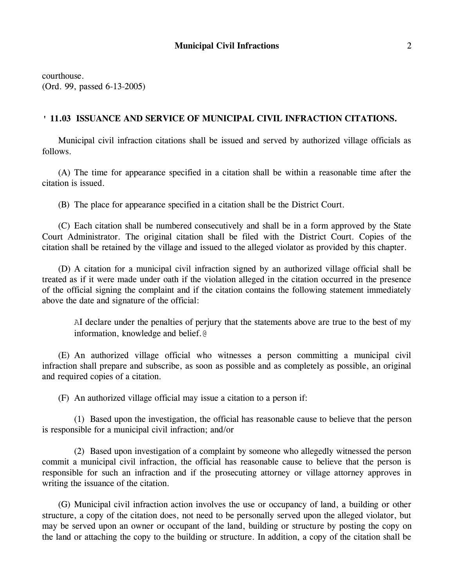courthouse. (Ord. 99, passed 6-13-2005)

### **' 11.03 ISSUANCE AND SERVICE OF MUNICIPAL CIVIL INFRACTION CITATIONS.**

Municipal civil infraction citations shall be issued and served by authorized village officials as follows.

(A) The time for appearance specified in a citation shall be within a reasonable time after the citation is issued.

(B) The place for appearance specified in a citation shall be the District Court.

(C) Each citation shall be numbered consecutively and shall be in a form approved by the State Court Administrator. The original citation shall be filed with the District Court. Copies of the citation shall be retained by the village and issued to the alleged violator as provided by this chapter.

(D) A citation for a municipal civil infraction signed by an authorized village official shall be treated as if it were made under oath if the violation alleged in the citation occurred in the presence of the official signing the complaint and if the citation contains the following statement immediately above the date and signature of the official:

AI declare under the penalties of perjury that the statements above are true to the best of my information, knowledge and belief.@

(E) An authorized village official who witnesses a person committing a municipal civil infraction shall prepare and subscribe, as soon as possible and as completely as possible, an original and required copies of a citation.

(F) An authorized village official may issue a citation to a person if:

(1) Based upon the investigation, the official has reasonable cause to believe that the person is responsible for a municipal civil infraction; and/or

(2) Based upon investigation of a complaint by someone who allegedly witnessed the person commit a municipal civil infraction, the official has reasonable cause to believe that the person is responsible for such an infraction and if the prosecuting attorney or village attorney approves in writing the issuance of the citation.

(G) Municipal civil infraction action involves the use or occupancy of land, a building or other structure, a copy of the citation does, not need to be personally served upon the alleged violator, but may be served upon an owner or occupant of the land, building or structure by posting the copy on the land or attaching the copy to the building or structure. In addition, a copy of the citation shall be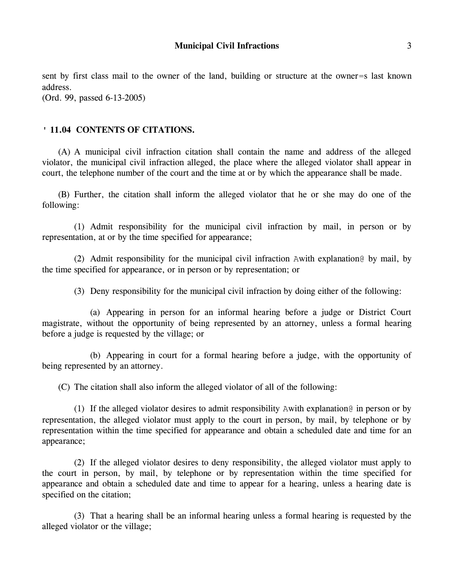sent by first class mail to the owner of the land, building or structure at the owner=s last known address.

(Ord. 99, passed 6-13-2005)

## **' 11.04 CONTENTS OF CITATIONS.**

(A) A municipal civil infraction citation shall contain the name and address of the alleged violator, the municipal civil infraction alleged, the place where the alleged violator shall appear in court, the telephone number of the court and the time at or by which the appearance shall be made.

(B) Further, the citation shall inform the alleged violator that he or she may do one of the following:

(1) Admit responsibility for the municipal civil infraction by mail, in person or by representation, at or by the time specified for appearance;

(2) Admit responsibility for the municipal civil infraction Awith explanation@ by mail, by the time specified for appearance, or in person or by representation; or

(3) Deny responsibility for the municipal civil infraction by doing either of the following:

(a) Appearing in person for an informal hearing before a judge or District Court magistrate, without the opportunity of being represented by an attorney, unless a formal hearing before a judge is requested by the village; or

(b) Appearing in court for a formal hearing before a judge, with the opportunity of being represented by an attorney.

(C) The citation shall also inform the alleged violator of all of the following:

(1) If the alleged violator desires to admit responsibility Awith explanation@ in person or by representation, the alleged violator must apply to the court in person, by mail, by telephone or by representation within the time specified for appearance and obtain a scheduled date and time for an appearance;

(2) If the alleged violator desires to deny responsibility, the alleged violator must apply to the court in person, by mail, by telephone or by representation within the time specified for appearance and obtain a scheduled date and time to appear for a hearing, unless a hearing date is specified on the citation;

(3) That a hearing shall be an informal hearing unless a formal hearing is requested by the alleged violator or the village;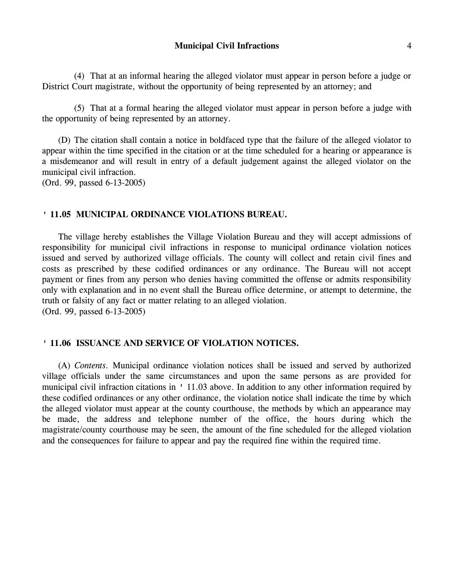(4) That at an informal hearing the alleged violator must appear in person before a judge or District Court magistrate, without the opportunity of being represented by an attorney; and

(5) That at a formal hearing the alleged violator must appear in person before a judge with the opportunity of being represented by an attorney.

(D) The citation shall contain a notice in boldfaced type that the failure of the alleged violator to appear within the time specified in the citation or at the time scheduled for a hearing or appearance is a misdemeanor and will result in entry of a default judgement against the alleged violator on the municipal civil infraction.

(Ord. 99, passed 6-13-2005)

### **' 11.05 MUNICIPAL ORDINANCE VIOLATIONS BUREAU.**

The village hereby establishes the Village Violation Bureau and they will accept admissions of responsibility for municipal civil infractions in response to municipal ordinance violation notices issued and served by authorized village officials. The county will collect and retain civil fines and costs as prescribed by these codified ordinances or any ordinance. The Bureau will not accept payment or fines from any person who denies having committed the offense or admits responsibility only with explanation and in no event shall the Bureau office determine, or attempt to determine, the truth or falsity of any fact or matter relating to an alleged violation. (Ord. 99, passed 6-13-2005)

### **' 11.06 ISSUANCE AND SERVICE OF VIOLATION NOTICES.**

(A) *Contents.* Municipal ordinance violation notices shall be issued and served by authorized village officials under the same circumstances and upon the same persons as are provided for municipal civil infraction citations in ' 11.03 above. In addition to any other information required by these codified ordinances or any other ordinance, the violation notice shall indicate the time by which the alleged violator must appear at the county courthouse, the methods by which an appearance may be made, the address and telephone number of the office, the hours during which the magistrate/county courthouse may be seen, the amount of the fine scheduled for the alleged violation and the consequences for failure to appear and pay the required fine within the required time.